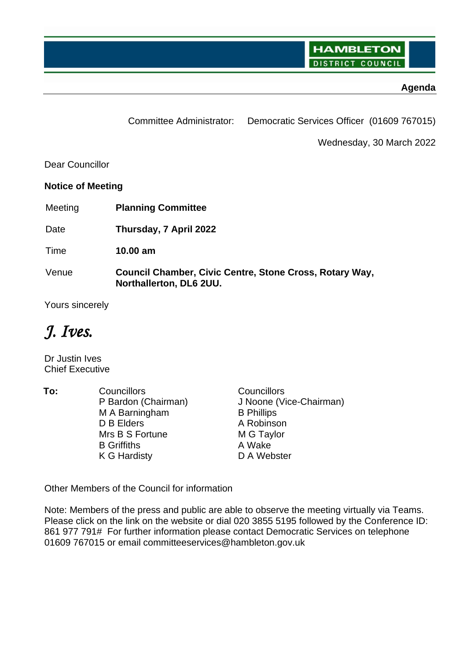**HAMBLETON DISTRICT COUNCIL** 

## **Agenda**

Committee Administrator: Democratic Services Officer (01609 767015)

Wednesday, 30 March 2022

Dear Councillor

**Notice of Meeting**

Meeting **Planning Committee**

Date **Thursday, 7 April 2022**

Time **10.00 am**

Venue **Council Chamber, Civic Centre, Stone Cross, Rotary Way, Northallerton, DL6 2UU.** 

Yours sincerely

*J. Ives.*

Dr Justin Ives Chief Executive

**To:** Councillors Councillors P Bardon (Chairman) M A Barningham D B Elders Mrs B S Fortune B Griffiths K G Hardisty J Noone (Vice-Chairman) B Phillips A Robinson M G Taylor A Wake D A Webster

Other Members of the Council for information

Note: Members of the press and public are able to observe the meeting virtually via Teams. Please click on the link on the website or dial 020 3855 5195 followed by the Conference ID: 861 977 791# For further information please contact Democratic Services on telephone 01609 767015 or email committeeservices@hambleton.gov.uk